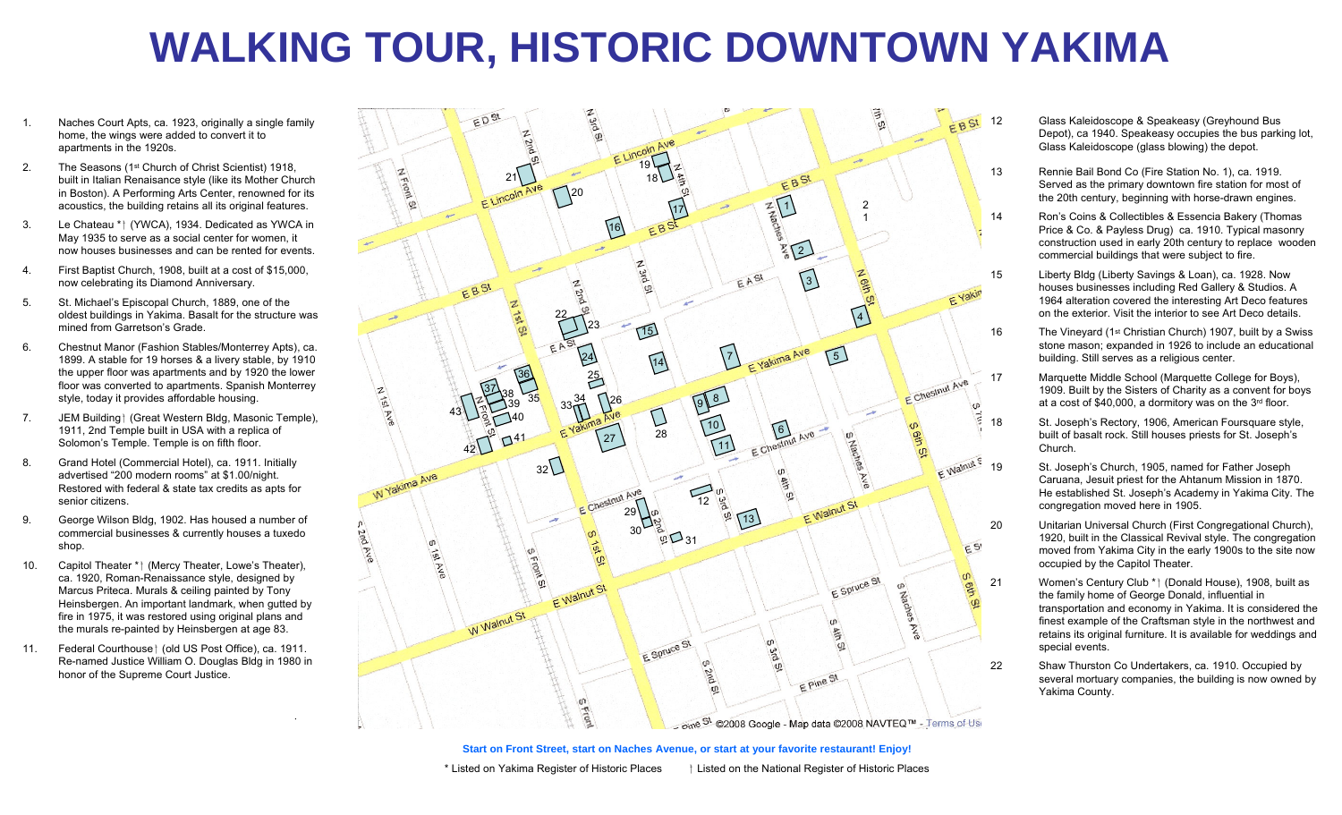## **WALKING TOUR, HISTORIC DOWNTOWN YAKIMA**

- 1. Naches Court Apts, ca. 1923, originally a single family home, the wings were added to convert it to apartments in the 1920s.
- 2. The Seasons (1st Church of Christ Scientist) 1918, built in Italian Renaisance style (like its Mother Church in Boston). A Performing Arts Center, renowned for its acoustics, the building retains all its original features.
- 3. Le Chateau \* *(YWCA)*, 1934. Dedicated as YWCA in May 1935 to serve as a social center for women, it now houses businesses and can be rented for events.
- 4. First Baptist Church, 1908, built at a cost of \$15,000, now celebrating its Diamond Anniversary.
- 5. St. Michael's Episcopal Church, 1889, one of the oldest buildings in Yakima. Basalt for the structure was mined from Garretson's Grade.
- 6. Chestnut Manor (Fashion Stables/Monterrey Apts), ca. 1899. A stable for 19 horses & a livery stable, by 1910 the upper floor was apartments and by 1920 the lower floor was converted to apartments. Spanish Monterrey style, today it provides affordable housing.
- 7. JEM Building | (Great Western Bldg, Masonic Temple), 1911, 2nd Temple built in USA with a replica of Solomon's Temple. Temple is on fifth floor.
- 8. Grand Hotel (Commercial Hotel), ca. 1911. Initially advertised "200 modern rooms" at \$1.00/night. Restored with federal & state tax credits as apts for senior citizens.
- 9. George Wilson Bldg, 1902. Has housed a number of commercial businesses & currently houses a tuxedo shop.
- 10. Capitol Theater \* | (Mercy Theater, Lowe's Theater), ca. 1920, Roman-Renaissance style, designed by Marcus Priteca. Murals & ceiling painted by Tony Heinsbergen. An important landmark, when gutted by fire in 1975, it was restored using original plans and the murals re-painted by Heinsbergen at age 83.
- 11. Federal Courthouse | (old US Post Office), ca. 1911. Re-named Justice William O. Douglas Bldg in 1980 in honor of the Supreme Court Justice.



- 12 Glass Kaleidoscope & Speakeasy (Greyhound Bus Depot), ca 1940. Speakeasy occupies the bus parking lot, Glass Kaleidoscope (glass blowing) the depot.
- 13 Rennie Bail Bond Co (Fire Station No. 1), ca. 1919. Served as the primary downtown fire station for most of the 20th century, beginning with horse-drawn engines.
- 14 Ron's Coins & Collectibles & Essencia Bakery (Thomas Price & Co. & Payless Drug) ca. 1910. Typical masonry construction used in early 20th century to replace wooden commercial buildings that were subject to fire.
- 15 Liberty Bldg (Liberty Savings & Loan), ca. 1928. Now houses businesses including Red Gallery & Studios. A 1964 alteration covered the interesting Art Deco features on the exterior. Visit the interior to see Art Deco details.
- 16 The Vineyard (1st Christian Church) 1907, built by a Swiss stone mason; expanded in 1926 to include an educational building. Still serves as a religious center.
- 17 Marquette Middle School (Marquette College for Boys), 1909. Built by the Sisters of Charity as a convent for boys at a cost of \$40,000, a dormitory was on the 3rd floor.
- 18 St. Joseph's Rectory, 1906, American Foursquare style, built of basalt rock. Still houses priests for St. Joseph's Church.
- 19 St. Joseph's Church, 1905, named for Father Joseph Caruana, Jesuit priest for the Ahtanum Mission in 1870. He established St. Joseph's Academy in Yakima City. The congregation moved here in 1905.
- 20 Unitarian Universal Church (First Congregational Church), 1920, built in the Classical Revival style. The congregation moved from Yakima City in the early 1900s to the site now occupied by the Capitol Theater.
- 21 Women's Century Club \* | (Donald House), 1908, built as the family home of George Donald, influential in transportation and economy in Yakima. It is considered the finest example of the Craftsman style in the northwest and retains its original furniture. It is available for weddings and special events.
- 22 Shaw Thurston Co Undertakers, ca. 1910. Occupied by several mortuary companies, the building is now owned by Yakima County.